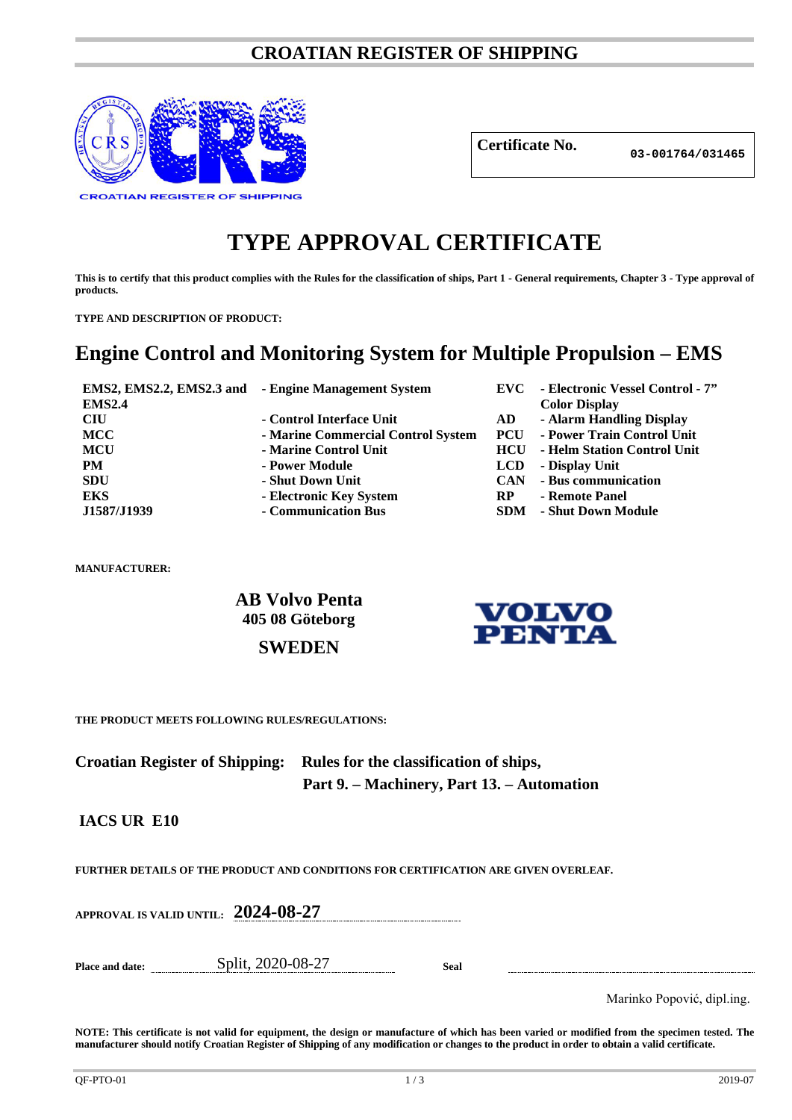### **CROATIAN REGISTER OF SHIPPING**



**Certificate No.**

**03-001764/031465**

# **TYPE APPROVAL CERTIFICATE**

**This is to certify that this product complies with the Rules for the classification of ships, Part 1 - General requirements, Chapter 3 - Type approval of products.**

**TYPE AND DESCRIPTION OF PRODUCT:** 

## **Engine Control and Monitoring System for Multiple Propulsion – EMS**

| <b>EMS2.4</b> | <b>EMS2, EMS2.2, EMS2.3 and - Engine Management System</b> | EVC –      | - Electronic Vessel Control - 7"<br><b>Color Display</b> |
|---------------|------------------------------------------------------------|------------|----------------------------------------------------------|
| <b>CIU</b>    | - Control Interface Unit                                   | AD         | - Alarm Handling Display                                 |
| <b>MCC</b>    | - Marine Commercial Control System                         | <b>PCU</b> | - Power Train Control Unit                               |
| MCU           | - Marine Control Unit                                      | <b>HCU</b> | - Helm Station Control Unit                              |
| <b>PM</b>     | - Power Module                                             | <b>LCD</b> | - Display Unit                                           |
| <b>SDU</b>    | - Shut Down Unit                                           | <b>CAN</b> | - Bus communication                                      |
| <b>EKS</b>    | - Electronic Key System                                    | <b>RP</b>  | - Remote Panel                                           |
| J1587/J1939   | - Communication Bus                                        | <b>SDM</b> | - Shut Down Module                                       |

**MANUFACTURER:**

**AB Volvo Penta 405 08 Göteborg**



**SWEDEN**

**THE PRODUCT MEETS FOLLOWING RULES/REGULATIONS:**

**Croatian Register of Shipping: Rules for the classification of ships, Part 9. – Machinery, Part 13. – Automation**

**IACS UR E10**

**FURTHER DETAILS OF THE PRODUCT AND CONDITIONS FOR CERTIFICATION ARE GIVEN OVERLEAF.**

**APPROVAL IS VALID UNTIL: 2024-08-27**

**Place and date:** Split, 2020-08-27 **Seal**

Marinko Popović, dipl.ing.

**NOTE: This certificate is not valid for equipment, the design or manufacture of which has been varied or modified from the specimen tested. The manufacturer should notify Croatian Register of Shipping of any modification or changes to the product in order to obtain a valid certificate.**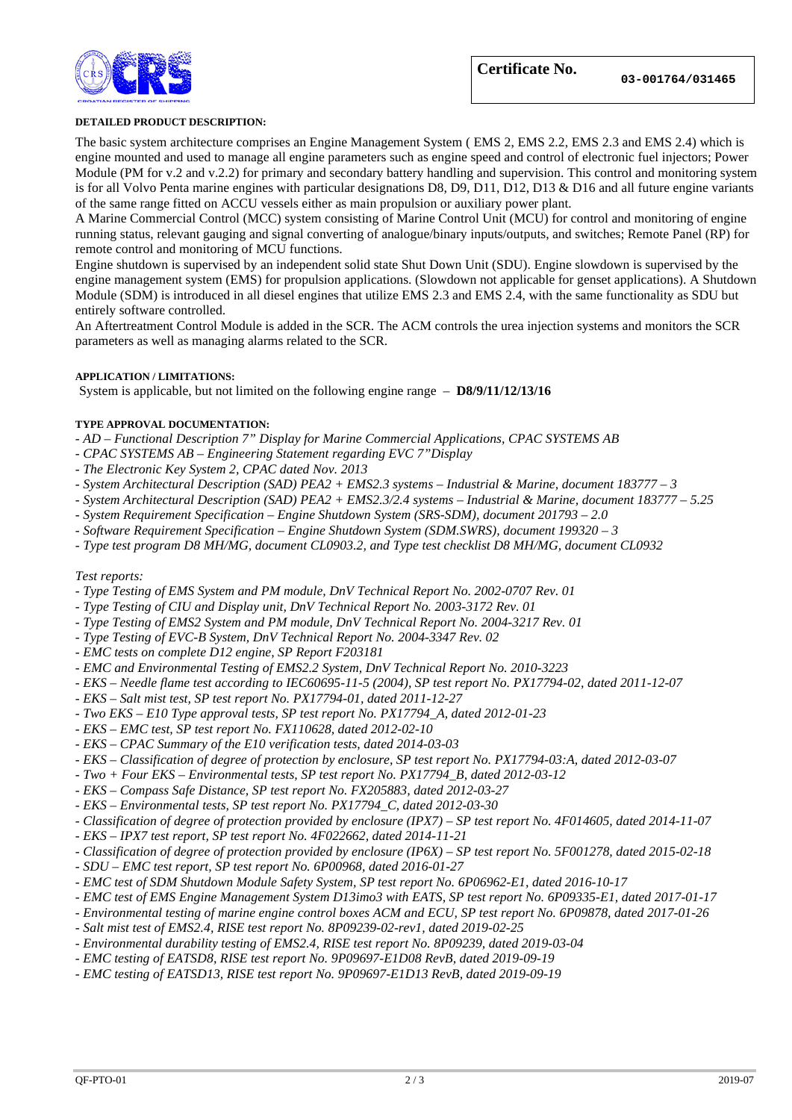

#### **DETAILED PRODUCT DESCRIPTION:**

The basic system architecture comprises an Engine Management System ( EMS 2, EMS 2.2, EMS 2.3 and EMS 2.4) which is engine mounted and used to manage all engine parameters such as engine speed and control of electronic fuel injectors; Power Module (PM for v.2 and v.2.2) for primary and secondary battery handling and supervision. This control and monitoring system is for all Volvo Penta marine engines with particular designations D8, D9, D11, D12, D13 & D16 and all future engine variants of the same range fitted on ACCU vessels either as main propulsion or auxiliary power plant.

A Marine Commercial Control (MCC) system consisting of Marine Control Unit (MCU) for control and monitoring of engine running status, relevant gauging and signal converting of analogue/binary inputs/outputs, and switches; Remote Panel (RP) for remote control and monitoring of MCU functions.

Engine shutdown is supervised by an independent solid state Shut Down Unit (SDU). Engine slowdown is supervised by the engine management system (EMS) for propulsion applications. (Slowdown not applicable for genset applications). A Shutdown Module (SDM) is introduced in all diesel engines that utilize EMS 2.3 and EMS 2.4, with the same functionality as SDU but entirely software controlled.

An Aftertreatment Control Module is added in the SCR. The ACM controls the urea injection systems and monitors the SCR parameters as well as managing alarms related to the SCR.

#### **APPLICATION / LIMITATIONS:**

System is applicable, but not limited on the following engine range – **D8/9/11/12/13/16**

#### **TYPE APPROVAL DOCUMENTATION:**

- *- AD – Functional Description 7" Display for Marine Commercial Applications, CPAC SYSTEMS AB*
- *- CPAC SYSTEMS AB – Engineering Statement regarding EVC 7"Display*
- *- The Electronic Key System 2, CPAC dated Nov. 2013*
- *- System Architectural Description (SAD) PEA2 + EMS2.3 systems – Industrial & Marine, document 183777 – 3*
- *- System Architectural Description (SAD) PEA2 + EMS2.3/2.4 systems – Industrial & Marine, document 183777 – 5.25*
- *- System Requirement Specification – Engine Shutdown System (SRS-SDM), document 201793 – 2.0*
- *- Software Requirement Specification – Engine Shutdown System (SDM.SWRS), document 199320 – 3*
- *- Type test program D8 MH/MG, document CL0903.2, and Type test checklist D8 MH/MG, document CL0932*

#### *Test reports:*

- *- Type Testing of EMS System and PM module, DnV Technical Report No. 2002-0707 Rev. 01*
- *- Type Testing of CIU and Display unit, DnV Technical Report No. 2003-3172 Rev. 01*
- *- Type Testing of EMS2 System and PM module, DnV Technical Report No. 2004-3217 Rev. 01*
- *- Type Testing of EVC-B System, DnV Technical Report No. 2004-3347 Rev. 02*
- *- EMC tests on complete D12 engine, SP Report F203181*
- *- EMC and Environmental Testing of EMS2.2 System, DnV Technical Report No. 2010-3223*
- *- EKS – Needle flame test according to IEC60695-11-5 (2004), SP test report No. PX17794-02, dated 2011-12-07*
- *- EKS – Salt mist test, SP test report No. PX17794-01, dated 2011-12-27*
- *- Two EKS – E10 Type approval tests, SP test report No. PX17794\_A, dated 2012-01-23*
- *- EKS – EMC test, SP test report No. FX110628, dated 2012-02-10*
- *- EKS – CPAC Summary of the E10 verification tests, dated 2014-03-03*
- *- EKS – Classification of degree of protection by enclosure, SP test report No. PX17794-03:A, dated 2012-03-07*
- *- Two + Four EKS – Environmental tests, SP test report No. PX17794\_B, dated 2012-03-12*
- *- EKS – Compass Safe Distance, SP test report No. FX205883, dated 2012-03-27*
- *- EKS – Environmental tests, SP test report No. PX17794\_C, dated 2012-03-30*
- *- Classification of degree of protection provided by enclosure (IPX7) – SP test report No. 4F014605, dated 2014-11-07*
- *- EKS – IPX7 test report, SP test report No. 4F022662, dated 2014-11-21*
- *- Classification of degree of protection provided by enclosure (IP6X) – SP test report No. 5F001278, dated 2015-02-18*
- *- SDU – EMC test report, SP test report No. 6P00968, dated 2016-01-27*
- *- EMC test of SDM Shutdown Module Safety System, SP test report No. 6P06962-E1, dated 2016-10-17*
- *- EMC test of EMS Engine Management System D13imo3 with EATS, SP test report No. 6P09335-E1, dated 2017-01-17*
- *- Environmental testing of marine engine control boxes ACM and ECU, SP test report No. 6P09878, dated 2017-01-26*
- *- Salt mist test of EMS2.4, RISE test report No. 8P09239-02-rev1, dated 2019-02-25*
- *- Environmental durability testing of EMS2.4, RISE test report No. 8P09239, dated 2019-03-04*
- *- EMC testing of EATSD8, RISE test report No. 9P09697-E1D08 RevB, dated 2019-09-19*
- *- EMC testing of EATSD13, RISE test report No. 9P09697-E1D13 RevB, dated 2019-09-19*